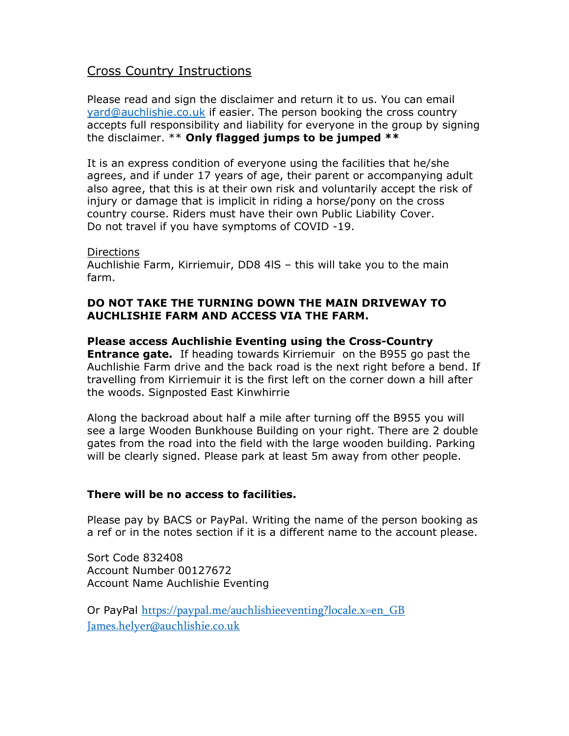## Cross Country Instructions

Please read and sign the disclaimer and return it to us. You can email yard@auchlishie.co.uk if easier. The person booking the cross country accepts full responsibility and liability for everyone in the group by signing the disclaimer.  $**$  Only flagged jumps to be jumped  $**$ 

It is an express condition of everyone using the facilities that he/she agrees, and if under 17 years of age, their parent or accompanying adult also agree, that this is at their own risk and voluntarily accept the risk of injury or damage that is implicit in riding a horse/pony on the cross country course. Riders must have their own Public Liability Cover. Do not travel if you have symptoms of COVID -19.

## **Directions**

Auchlishie Farm, Kirriemuir, DD8 4lS – this will take you to the main farm.

## DO NOT TAKE THE TURNING DOWN THE MAIN DRIVEWAY TO AUCHLISHIE FARM AND ACCESS VIA THE FARM.

Please access Auchlishie Eventing using the Cross-Country **Entrance gate.** If heading towards Kirriemuir on the B955 go past the Auchlishie Farm drive and the back road is the next right before a bend. If travelling from Kirriemuir it is the first left on the corner down a hill after the woods. Signposted East Kinwhirrie

Along the backroad about half a mile after turning off the B955 you will see a large Wooden Bunkhouse Building on your right. There are 2 double gates from the road into the field with the large wooden building. Parking will be clearly signed. Please park at least 5m away from other people.

## There will be no access to facilities.

Please pay by BACS or PayPal. Writing the name of the person booking as a ref or in the notes section if it is a different name to the account please.

Sort Code 832408 Account Number 00127672 Account Name Auchlishie Eventing

Or PayPal https://paypal.me/auchlishieeventing?locale.x=en\_GB James.helyer@auchlishie.co.uk